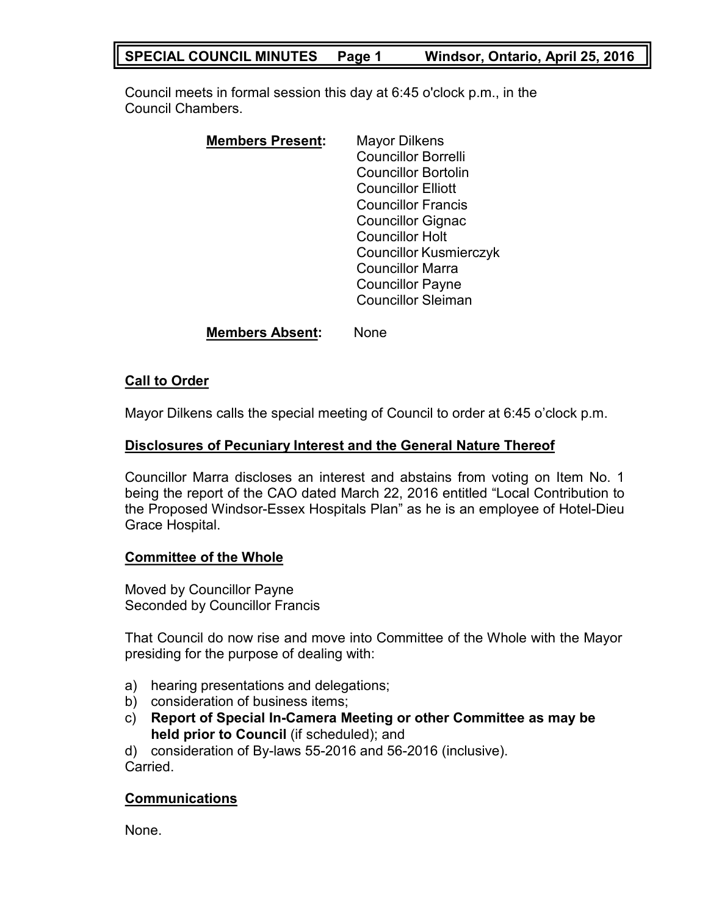## **SPECIAL COUNCIL MINUTES Page 1 Windsor, Ontario, April 25, 2016**

Council meets in formal session this day at 6:45 o'clock p.m., in the Council Chambers.

| <b>Members Present:</b> | <b>Mayor Dilkens</b>          |
|-------------------------|-------------------------------|
|                         | <b>Councillor Borrelli</b>    |
|                         | <b>Councillor Bortolin</b>    |
|                         | <b>Councillor Elliott</b>     |
|                         | <b>Councillor Francis</b>     |
|                         | <b>Councillor Gignac</b>      |
|                         | <b>Councillor Holt</b>        |
|                         | <b>Councillor Kusmierczyk</b> |
|                         | Councillor Marra              |
|                         | <b>Councillor Payne</b>       |
|                         | <b>Councillor Sleiman</b>     |
|                         |                               |

**Members Absent:** None

## **Call to Order**

Mayor Dilkens calls the special meeting of Council to order at 6:45 o'clock p.m.

#### **Disclosures of Pecuniary Interest and the General Nature Thereof**

Councillor Marra discloses an interest and abstains from voting on Item No. 1 being the report of the CAO dated March 22, 2016 entitled "Local Contribution to the Proposed Windsor-Essex Hospitals Plan" as he is an employee of Hotel-Dieu Grace Hospital.

## **Committee of the Whole**

Moved by Councillor Payne Seconded by Councillor Francis

That Council do now rise and move into Committee of the Whole with the Mayor presiding for the purpose of dealing with:

- a) hearing presentations and delegations;
- b) consideration of business items;
- c) **Report of Special In-Camera Meeting or other Committee as may be held prior to Council** (if scheduled); and

d) consideration of By-laws 55-2016 and 56-2016 (inclusive). Carried.

## **Communications**

None.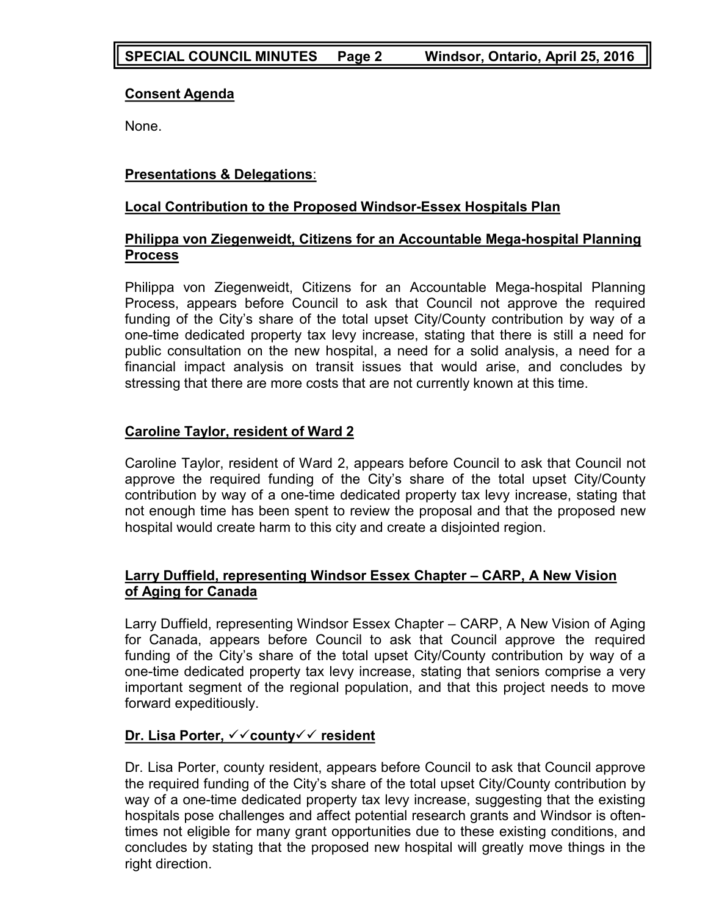## **Consent Agenda**

None.

## **Presentations & Delegations**:

## **Local Contribution to the Proposed Windsor-Essex Hospitals Plan**

## **Philippa von Ziegenweidt, Citizens for an Accountable Mega-hospital Planning Process**

Philippa von Ziegenweidt, Citizens for an Accountable Mega-hospital Planning Process, appears before Council to ask that Council not approve the required funding of the City's share of the total upset City/County contribution by way of a one-time dedicated property tax levy increase, stating that there is still a need for public consultation on the new hospital, a need for a solid analysis, a need for a financial impact analysis on transit issues that would arise, and concludes by stressing that there are more costs that are not currently known at this time.

## **Caroline Taylor, resident of Ward 2**

Caroline Taylor, resident of Ward 2, appears before Council to ask that Council not approve the required funding of the City's share of the total upset City/County contribution by way of a one-time dedicated property tax levy increase, stating that not enough time has been spent to review the proposal and that the proposed new hospital would create harm to this city and create a disjointed region.

## **Larry Duffield, representing Windsor Essex Chapter – CARP, A New Vision of Aging for Canada**

Larry Duffield, representing Windsor Essex Chapter – CARP, A New Vision of Aging for Canada, appears before Council to ask that Council approve the required funding of the City's share of the total upset City/County contribution by way of a one-time dedicated property tax levy increase, stating that seniors comprise a very important segment of the regional population, and that this project needs to move forward expeditiously.

## **Dr. Lisa Porter,** ✓✓**county**✓✓ **resident**

Dr. Lisa Porter, county resident, appears before Council to ask that Council approve the required funding of the City's share of the total upset City/County contribution by way of a one-time dedicated property tax levy increase, suggesting that the existing hospitals pose challenges and affect potential research grants and Windsor is oftentimes not eligible for many grant opportunities due to these existing conditions, and concludes by stating that the proposed new hospital will greatly move things in the right direction.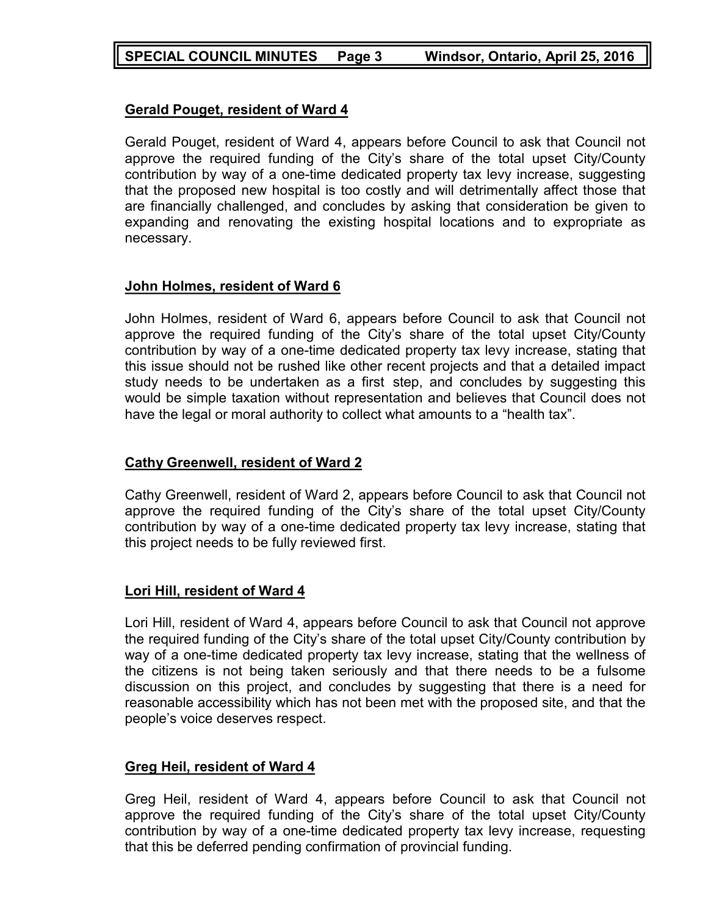## **Gerald Pouget, resident of Ward 4**

Gerald Pouget, resident of Ward 4, appears before Council to ask that Council not approve the required funding of the City's share of the total upset City/County contribution by way of a one-time dedicated property tax levy increase, suggesting that the proposed new hospital is too costly and will detrimentally affect those that are financially challenged, and concludes by asking that consideration be given to expanding and renovating the existing hospital locations and to expropriate as necessary.

## **John Holmes, resident of Ward 6**

John Holmes, resident of Ward 6, appears before Council to ask that Council not approve the required funding of the City's share of the total upset City/County contribution by way of a one-time dedicated property tax levy increase, stating that this issue should not be rushed like other recent projects and that a detailed impact study needs to be undertaken as a first step, and concludes by suggesting this would be simple taxation without representation and believes that Council does not have the legal or moral authority to collect what amounts to a "health tax".

## **Cathy Greenwell, resident of Ward 2**

Cathy Greenwell, resident of Ward 2, appears before Council to ask that Council not approve the required funding of the City's share of the total upset City/County contribution by way of a one-time dedicated property tax levy increase, stating that this project needs to be fully reviewed first.

## **Lori Hill, resident of Ward 4**

Lori Hill, resident of Ward 4, appears before Council to ask that Council not approve the required funding of the City's share of the total upset City/County contribution by way of a one-time dedicated property tax levy increase, stating that the wellness of the citizens is not being taken seriously and that there needs to be a fulsome discussion on this project, and concludes by suggesting that there is a need for reasonable accessibility which has not been met with the proposed site, and that the people's voice deserves respect.

## **Greg Heil, resident of Ward 4**

Greg Heil, resident of Ward 4, appears before Council to ask that Council not approve the required funding of the City's share of the total upset City/County contribution by way of a one-time dedicated property tax levy increase, requesting that this be deferred pending confirmation of provincial funding.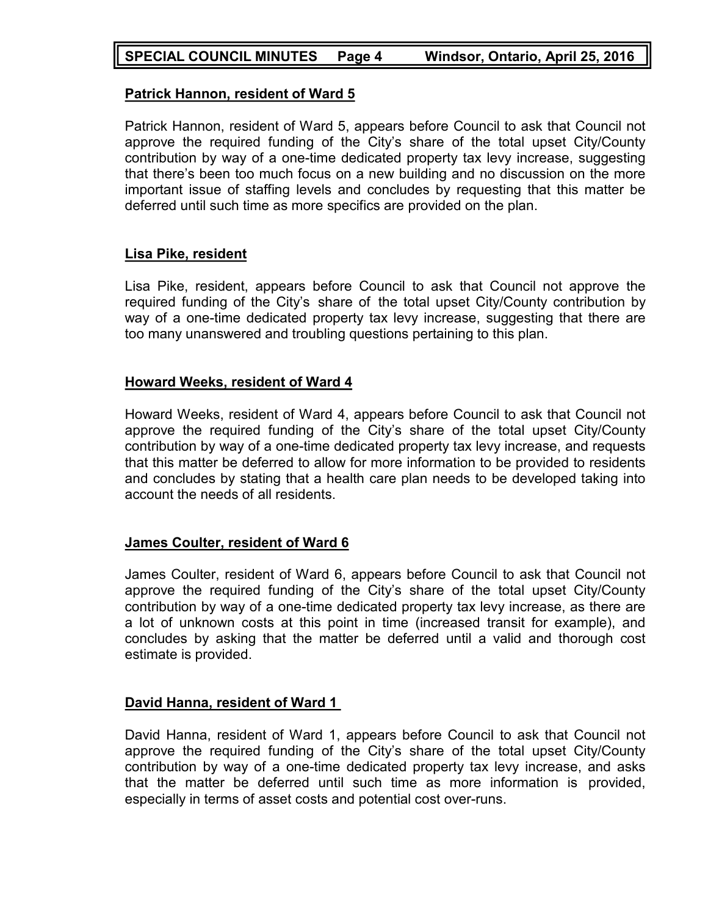## **Patrick Hannon, resident of Ward 5**

Patrick Hannon, resident of Ward 5, appears before Council to ask that Council not approve the required funding of the City's share of the total upset City/County contribution by way of a one-time dedicated property tax levy increase, suggesting that there's been too much focus on a new building and no discussion on the more important issue of staffing levels and concludes by requesting that this matter be deferred until such time as more specifics are provided on the plan.

## **Lisa Pike, resident**

Lisa Pike, resident, appears before Council to ask that Council not approve the required funding of the City's share of the total upset City/County contribution by way of a one-time dedicated property tax levy increase, suggesting that there are too many unanswered and troubling questions pertaining to this plan.

## **Howard Weeks, resident of Ward 4**

Howard Weeks, resident of Ward 4, appears before Council to ask that Council not approve the required funding of the City's share of the total upset City/County contribution by way of a one-time dedicated property tax levy increase, and requests that this matter be deferred to allow for more information to be provided to residents and concludes by stating that a health care plan needs to be developed taking into account the needs of all residents.

## **James Coulter, resident of Ward 6**

James Coulter, resident of Ward 6, appears before Council to ask that Council not approve the required funding of the City's share of the total upset City/County contribution by way of a one-time dedicated property tax levy increase, as there are a lot of unknown costs at this point in time (increased transit for example), and concludes by asking that the matter be deferred until a valid and thorough cost estimate is provided.

## **David Hanna, resident of Ward 1**

David Hanna, resident of Ward 1, appears before Council to ask that Council not approve the required funding of the City's share of the total upset City/County contribution by way of a one-time dedicated property tax levy increase, and asks that the matter be deferred until such time as more information is provided, especially in terms of asset costs and potential cost over-runs.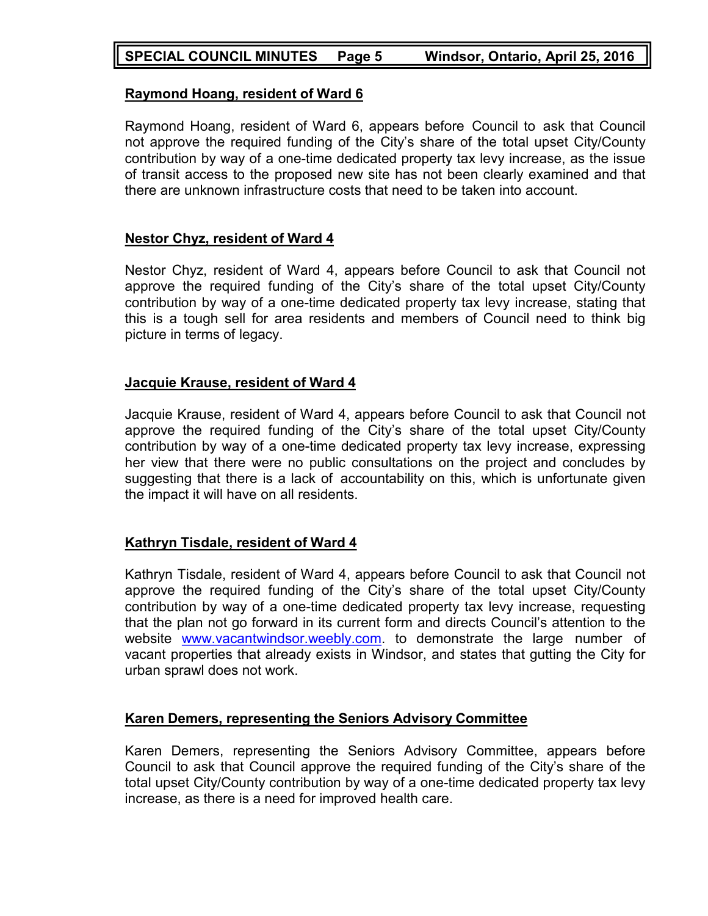## **SPECIAL COUNCIL MINUTES Page 5 Windsor, Ontario, April 25, 2016**

### **Raymond Hoang, resident of Ward 6**

Raymond Hoang, resident of Ward 6, appears before Council to ask that Council not approve the required funding of the City's share of the total upset City/County contribution by way of a one-time dedicated property tax levy increase, as the issue of transit access to the proposed new site has not been clearly examined and that there are unknown infrastructure costs that need to be taken into account.

#### **Nestor Chyz, resident of Ward 4**

Nestor Chyz, resident of Ward 4, appears before Council to ask that Council not approve the required funding of the City's share of the total upset City/County contribution by way of a one-time dedicated property tax levy increase, stating that this is a tough sell for area residents and members of Council need to think big picture in terms of legacy.

#### **Jacquie Krause, resident of Ward 4**

Jacquie Krause, resident of Ward 4, appears before Council to ask that Council not approve the required funding of the City's share of the total upset City/County contribution by way of a one-time dedicated property tax levy increase, expressing her view that there were no public consultations on the project and concludes by suggesting that there is a lack of accountability on this, which is unfortunate given the impact it will have on all residents.

## **Kathryn Tisdale, resident of Ward 4**

Kathryn Tisdale, resident of Ward 4, appears before Council to ask that Council not approve the required funding of the City's share of the total upset City/County contribution by way of a one-time dedicated property tax levy increase, requesting that the plan not go forward in its current form and directs Council's attention to the website [www.vacantwindsor.weebly.com.](http://www.vacantwindsor.weebly.com/) to demonstrate the large number of vacant properties that already exists in Windsor, and states that gutting the City for urban sprawl does not work.

## **Karen Demers, representing the Seniors Advisory Committee**

Karen Demers, representing the Seniors Advisory Committee, appears before Council to ask that Council approve the required funding of the City's share of the total upset City/County contribution by way of a one-time dedicated property tax levy increase, as there is a need for improved health care.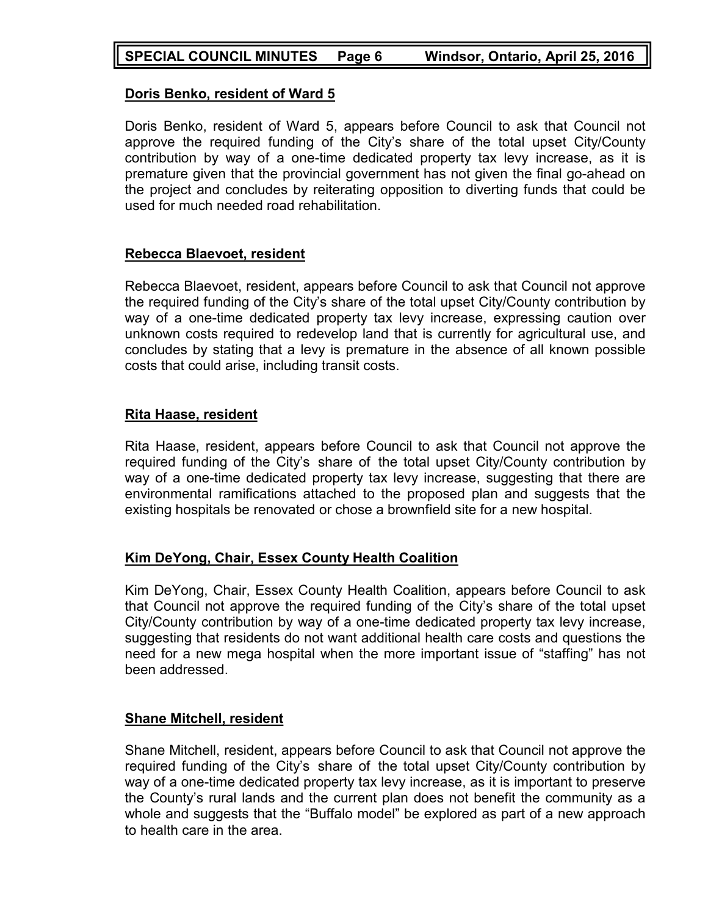## **Doris Benko, resident of Ward 5**

Doris Benko, resident of Ward 5, appears before Council to ask that Council not approve the required funding of the City's share of the total upset City/County contribution by way of a one-time dedicated property tax levy increase, as it is premature given that the provincial government has not given the final go-ahead on the project and concludes by reiterating opposition to diverting funds that could be used for much needed road rehabilitation.

## **Rebecca Blaevoet, resident**

Rebecca Blaevoet, resident, appears before Council to ask that Council not approve the required funding of the City's share of the total upset City/County contribution by way of a one-time dedicated property tax levy increase, expressing caution over unknown costs required to redevelop land that is currently for agricultural use, and concludes by stating that a levy is premature in the absence of all known possible costs that could arise, including transit costs.

## **Rita Haase, resident**

Rita Haase, resident, appears before Council to ask that Council not approve the required funding of the City's share of the total upset City/County contribution by way of a one-time dedicated property tax levy increase, suggesting that there are environmental ramifications attached to the proposed plan and suggests that the existing hospitals be renovated or chose a brownfield site for a new hospital.

## **Kim DeYong, Chair, Essex County Health Coalition**

Kim DeYong, Chair, Essex County Health Coalition, appears before Council to ask that Council not approve the required funding of the City's share of the total upset City/County contribution by way of a one-time dedicated property tax levy increase, suggesting that residents do not want additional health care costs and questions the need for a new mega hospital when the more important issue of "staffing" has not been addressed.

## **Shane Mitchell, resident**

Shane Mitchell, resident, appears before Council to ask that Council not approve the required funding of the City's share of the total upset City/County contribution by way of a one-time dedicated property tax levy increase, as it is important to preserve the County's rural lands and the current plan does not benefit the community as a whole and suggests that the "Buffalo model" be explored as part of a new approach to health care in the area.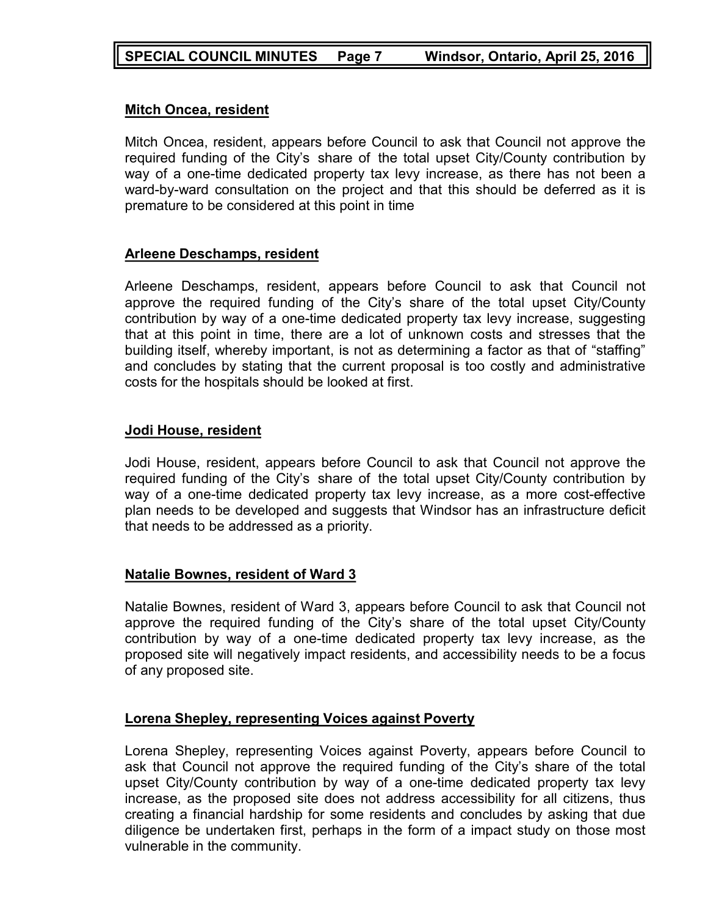## **Mitch Oncea, resident**

Mitch Oncea, resident, appears before Council to ask that Council not approve the required funding of the City's share of the total upset City/County contribution by way of a one-time dedicated property tax levy increase, as there has not been a ward-by-ward consultation on the project and that this should be deferred as it is premature to be considered at this point in time

## **Arleene Deschamps, resident**

Arleene Deschamps, resident, appears before Council to ask that Council not approve the required funding of the City's share of the total upset City/County contribution by way of a one-time dedicated property tax levy increase, suggesting that at this point in time, there are a lot of unknown costs and stresses that the building itself, whereby important, is not as determining a factor as that of "staffing" and concludes by stating that the current proposal is too costly and administrative costs for the hospitals should be looked at first.

#### **Jodi House, resident**

Jodi House, resident, appears before Council to ask that Council not approve the required funding of the City's share of the total upset City/County contribution by way of a one-time dedicated property tax levy increase, as a more cost-effective plan needs to be developed and suggests that Windsor has an infrastructure deficit that needs to be addressed as a priority.

## **Natalie Bownes, resident of Ward 3**

Natalie Bownes, resident of Ward 3, appears before Council to ask that Council not approve the required funding of the City's share of the total upset City/County contribution by way of a one-time dedicated property tax levy increase, as the proposed site will negatively impact residents, and accessibility needs to be a focus of any proposed site.

## **Lorena Shepley, representing Voices against Poverty**

Lorena Shepley, representing Voices against Poverty, appears before Council to ask that Council not approve the required funding of the City's share of the total upset City/County contribution by way of a one-time dedicated property tax levy increase, as the proposed site does not address accessibility for all citizens, thus creating a financial hardship for some residents and concludes by asking that due diligence be undertaken first, perhaps in the form of a impact study on those most vulnerable in the community.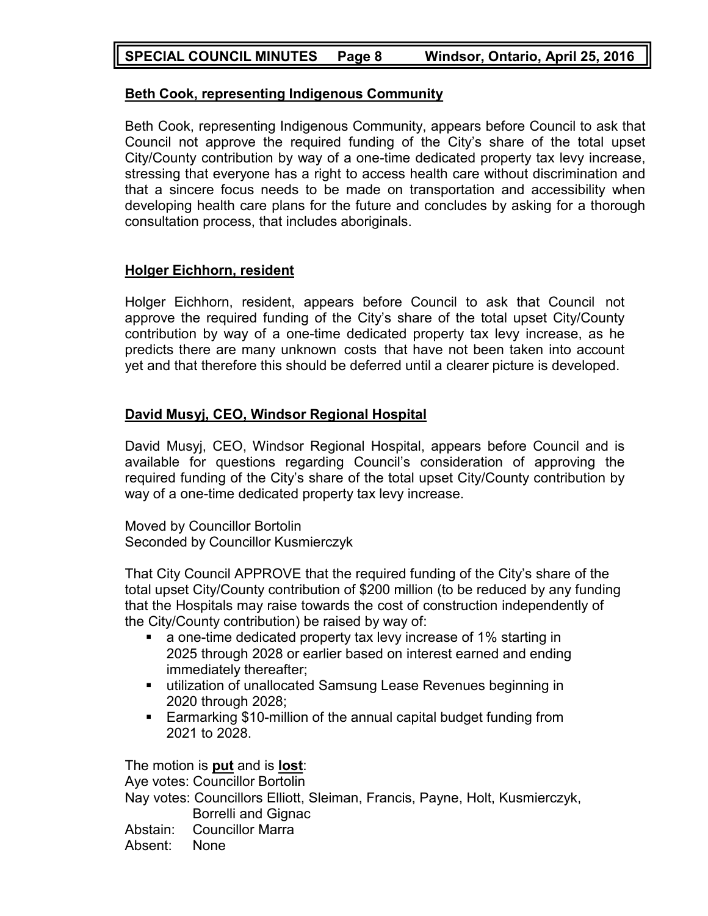## **SPECIAL COUNCIL MINUTES Page 8 Windsor, Ontario, April 25, 2016**

### **Beth Cook, representing Indigenous Community**

Beth Cook, representing Indigenous Community, appears before Council to ask that Council not approve the required funding of the City's share of the total upset City/County contribution by way of a one-time dedicated property tax levy increase, stressing that everyone has a right to access health care without discrimination and that a sincere focus needs to be made on transportation and accessibility when developing health care plans for the future and concludes by asking for a thorough consultation process, that includes aboriginals.

#### **Holger Eichhorn, resident**

Holger Eichhorn, resident, appears before Council to ask that Council not approve the required funding of the City's share of the total upset City/County contribution by way of a one-time dedicated property tax levy increase, as he predicts there are many unknown costs that have not been taken into account yet and that therefore this should be deferred until a clearer picture is developed.

## **David Musyj, CEO, Windsor Regional Hospital**

David Musyj, CEO, Windsor Regional Hospital, appears before Council and is available for questions regarding Council's consideration of approving the required funding of the City's share of the total upset City/County contribution by way of a one-time dedicated property tax levy increase.

Moved by Councillor Bortolin Seconded by Councillor Kusmierczyk

That City Council APPROVE that the required funding of the City's share of the total upset City/County contribution of \$200 million (to be reduced by any funding that the Hospitals may raise towards the cost of construction independently of the City/County contribution) be raised by way of:

- a one-time dedicated property tax levy increase of 1% starting in 2025 through 2028 or earlier based on interest earned and ending immediately thereafter;
- utilization of unallocated Samsung Lease Revenues beginning in 2020 through 2028;
- Earmarking \$10-million of the annual capital budget funding from 2021 to 2028.

The motion is **put** and is **lost**: Aye votes: Councillor Bortolin Nay votes: Councillors Elliott, Sleiman, Francis, Payne, Holt, Kusmierczyk, Borrelli and Gignac Abstain: Councillor Marra Absent: None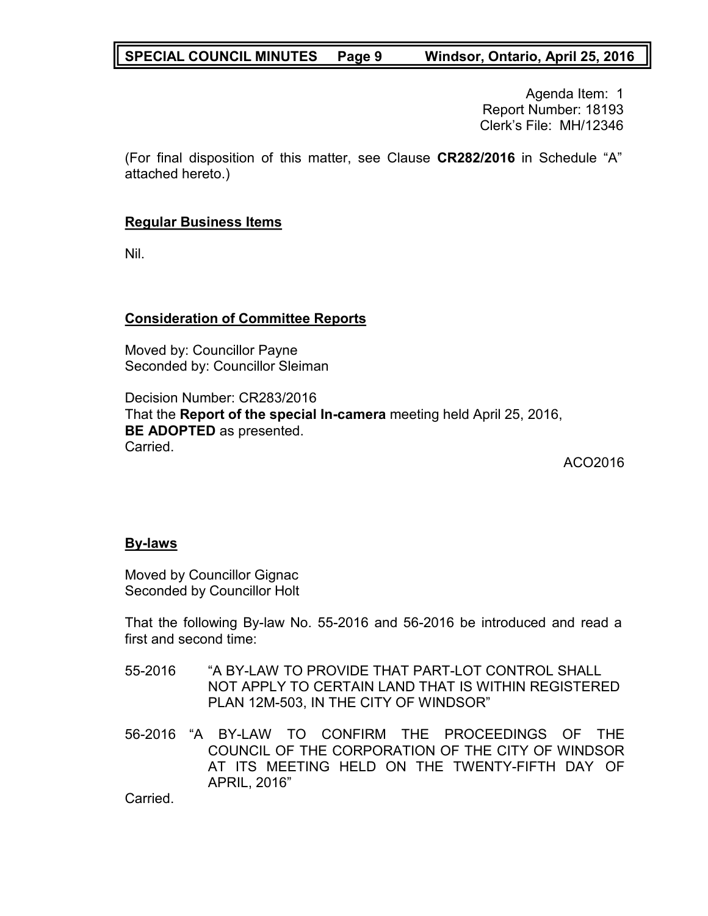## **SPECIAL COUNCIL MINUTES Page 9 Windsor, Ontario, April 25, 2016**

Agenda Item: 1 Report Number: 18193 Clerk's File: MH/12346

(For final disposition of this matter, see Clause **CR282/2016** in Schedule "A" attached hereto.)

### **Regular Business Items**

Nil.

## **Consideration of Committee Reports**

Moved by: Councillor Payne Seconded by: Councillor Sleiman

Decision Number: CR283/2016 That the **Report of the special In-camera** meeting held April 25, 2016, **BE ADOPTED** as presented. Carried.

ACO2016

#### **By-laws**

Moved by Councillor Gignac Seconded by Councillor Holt

That the following By-law No. 55-2016 and 56-2016 be introduced and read a first and second time:

- 55-2016 "A BY-LAW TO PROVIDE THAT PART-LOT CONTROL SHALL NOT APPLY TO CERTAIN LAND THAT IS WITHIN REGISTERED PLAN 12M-503, IN THE CITY OF WINDSOR"
- 56-2016 "A BY-LAW TO CONFIRM THE PROCEEDINGS OF THE COUNCIL OF THE CORPORATION OF THE CITY OF WINDSOR AT ITS MEETING HELD ON THE TWENTY-FIFTH DAY OF APRIL, 2016"

Carried.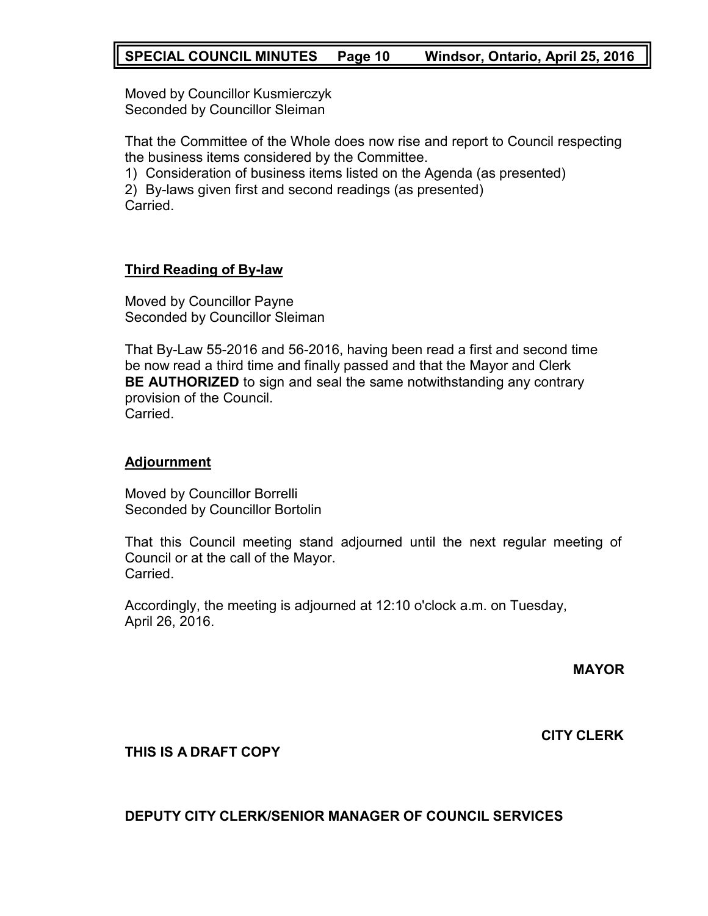## **SPECIAL COUNCIL MINUTES Page 10 Windsor, Ontario, April 25, 2016**

Moved by Councillor Kusmierczyk Seconded by Councillor Sleiman

That the Committee of the Whole does now rise and report to Council respecting the business items considered by the Committee.

1) Consideration of business items listed on the Agenda (as presented)

2) By-laws given first and second readings (as presented) Carried.

## **Third Reading of By-law**

Moved by Councillor Payne Seconded by Councillor Sleiman

That By-Law 55-2016 and 56-2016, having been read a first and second time be now read a third time and finally passed and that the Mayor and Clerk **BE AUTHORIZED** to sign and seal the same notwithstanding any contrary provision of the Council. **Carried** 

## **Adjournment**

Moved by Councillor Borrelli Seconded by Councillor Bortolin

That this Council meeting stand adjourned until the next regular meeting of Council or at the call of the Mayor. Carried.

Accordingly, the meeting is adjourned at 12:10 o'clock a.m. on Tuesday, April 26, 2016.

**MAYOR**

**CITY CLERK**

## **THIS IS A DRAFT COPY**

**DEPUTY CITY CLERK/SENIOR MANAGER OF COUNCIL SERVICES**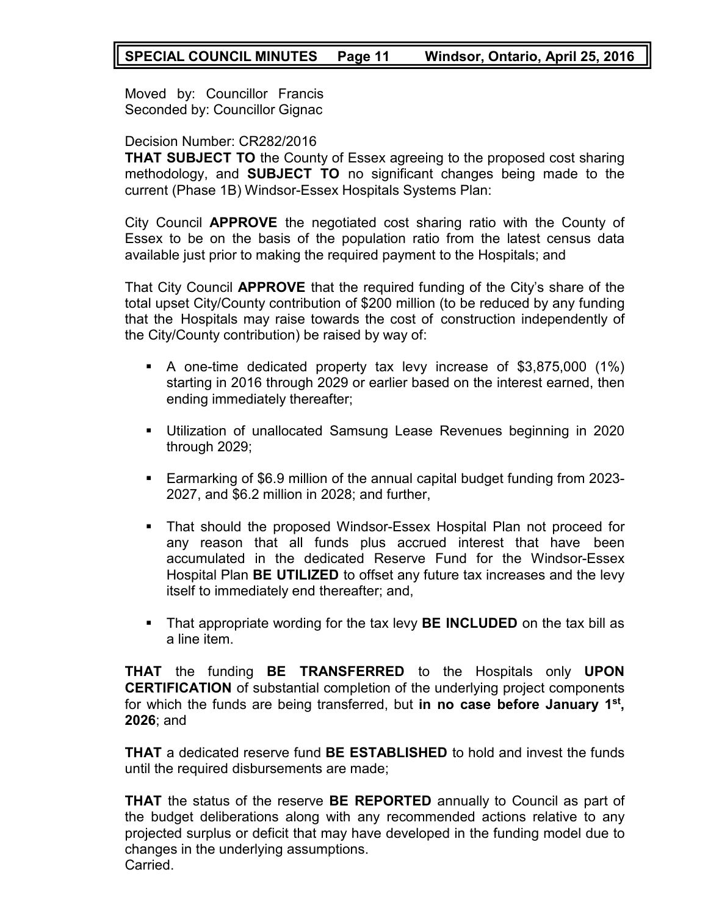## **SPECIAL COUNCIL MINUTES Page 11 Windsor, Ontario, April 25, 2016**

Moved by: Councillor Francis Seconded by: Councillor Gignac

#### Decision Number: CR282/2016

**THAT SUBJECT TO** the County of Essex agreeing to the proposed cost sharing methodology, and **SUBJECT TO** no significant changes being made to the current (Phase 1B) Windsor-Essex Hospitals Systems Plan:

City Council **APPROVE** the negotiated cost sharing ratio with the County of Essex to be on the basis of the population ratio from the latest census data available just prior to making the required payment to the Hospitals; and

That City Council **APPROVE** that the required funding of the City's share of the total upset City/County contribution of \$200 million (to be reduced by any funding that the Hospitals may raise towards the cost of construction independently of the City/County contribution) be raised by way of:

- A one-time dedicated property tax levy increase of \$3,875,000 (1%) starting in 2016 through 2029 or earlier based on the interest earned, then ending immediately thereafter;
- Utilization of unallocated Samsung Lease Revenues beginning in 2020 through 2029;
- Earmarking of \$6.9 million of the annual capital budget funding from 2023- 2027, and \$6.2 million in 2028; and further,
- That should the proposed Windsor-Essex Hospital Plan not proceed for any reason that all funds plus accrued interest that have been accumulated in the dedicated Reserve Fund for the Windsor-Essex Hospital Plan **BE UTILIZED** to offset any future tax increases and the levy itself to immediately end thereafter; and,
- That appropriate wording for the tax levy **BE INCLUDED** on the tax bill as a line item.

**THAT** the funding **BE TRANSFERRED** to the Hospitals only **UPON CERTIFICATION** of substantial completion of the underlying project components for which the funds are being transferred, but **in no case before January 1st , 2026**; and

**THAT** a dedicated reserve fund **BE ESTABLISHED** to hold and invest the funds until the required disbursements are made;

**THAT** the status of the reserve **BE REPORTED** annually to Council as part of the budget deliberations along with any recommended actions relative to any projected surplus or deficit that may have developed in the funding model due to changes in the underlying assumptions. Carried.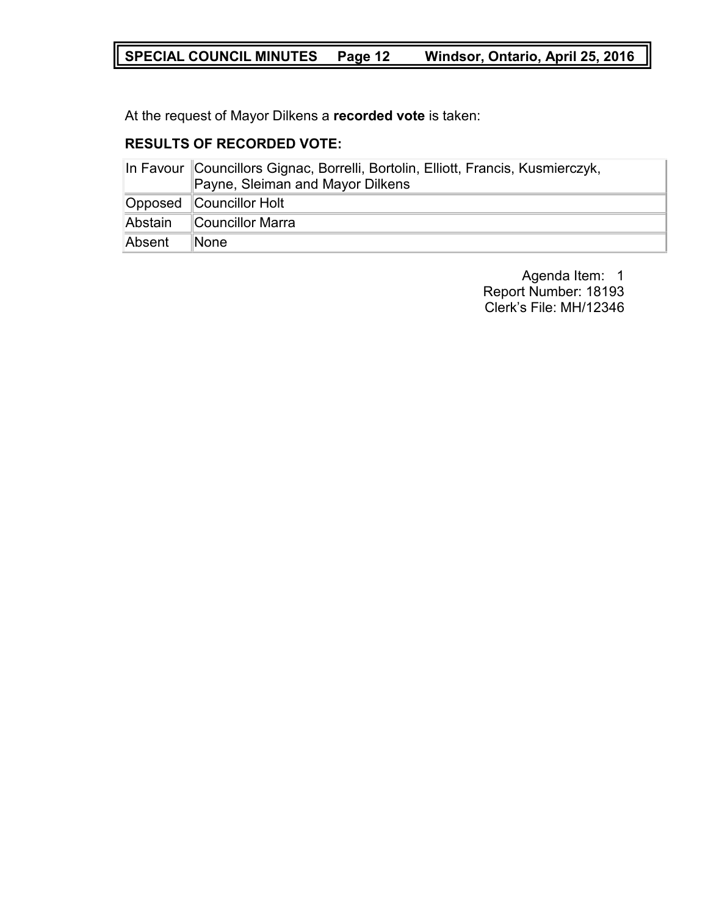# **SPECIAL COUNCIL MINUTES Page 12 Windsor, Ontario, April 25, 2016**

At the request of Mayor Dilkens a **recorded vote** is taken:

## **RESULTS OF RECORDED VOTE:**

|         | In Favour Councillors Gignac, Borrelli, Bortolin, Elliott, Francis, Kusmierczyk,<br>Payne, Sleiman and Mayor Dilkens |  |
|---------|----------------------------------------------------------------------------------------------------------------------|--|
|         | Opposed Councillor Holt                                                                                              |  |
| Abstain | Councillor Marra                                                                                                     |  |
| Absent  | ∥None                                                                                                                |  |

Agenda Item: 1 Report Number: 18193 Clerk's File: MH/12346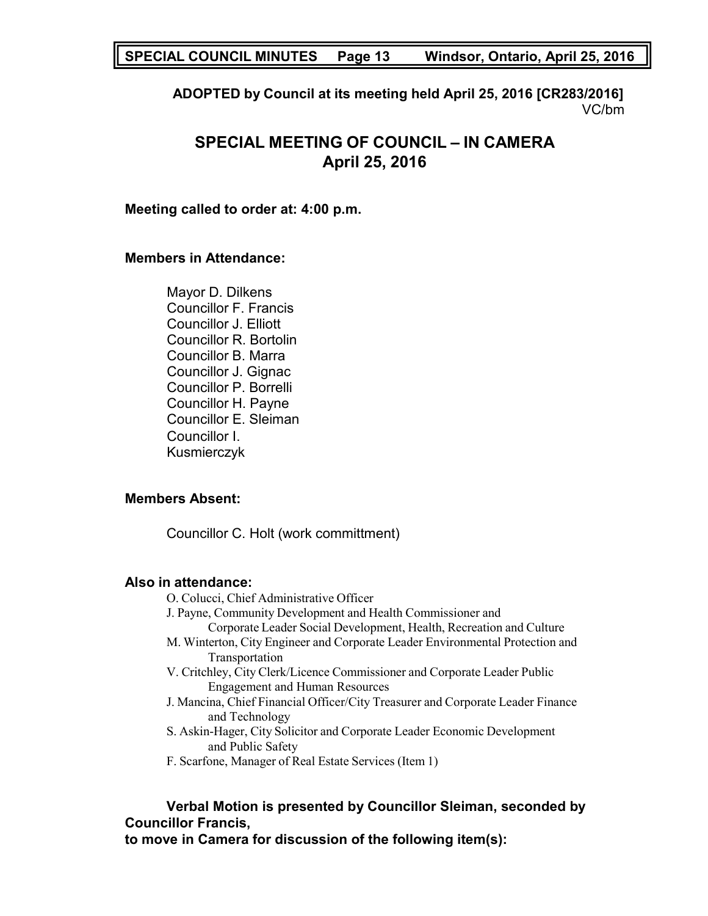**SPECIAL COUNCIL MINUTES Page 13 Windsor, Ontario, April 25, 2016**

**ADOPTED by Council at its meeting held April 25, 2016 [CR283/2016]** VC/bm

# **SPECIAL MEETING OF COUNCIL – IN CAMERA April 25, 2016**

#### **Meeting called to order at: 4:00 p.m.**

#### **Members in Attendance:**

Mayor D. Dilkens Councillor F. Francis Councillor J. Elliott Councillor R. Bortolin Councillor B. Marra Councillor J. Gignac Councillor P. Borrelli Councillor H. Payne Councillor E. Sleiman Councillor I. Kusmierczyk

#### **Members Absent:**

Councillor C. Holt (work committment)

#### **Also in attendance:**

- O. Colucci, Chief Administrative Officer
- J. Payne, Community Development and Health Commissioner and
	- Corporate Leader Social Development, Health, Recreation and Culture
- M. Winterton, City Engineer and Corporate Leader Environmental Protection and Transportation
- V. Critchley, City Clerk/Licence Commissioner and Corporate Leader Public Engagement and Human Resources
- J. Mancina, Chief Financial Officer/City Treasurer and Corporate Leader Finance and Technology
- S. Askin-Hager, City Solicitor and Corporate Leader Economic Development and Public Safety
- F. Scarfone, Manager of Real Estate Services (Item 1)

# **Verbal Motion is presented by Councillor Sleiman, seconded by Councillor Francis,**

**to move in Camera for discussion of the following item(s):**